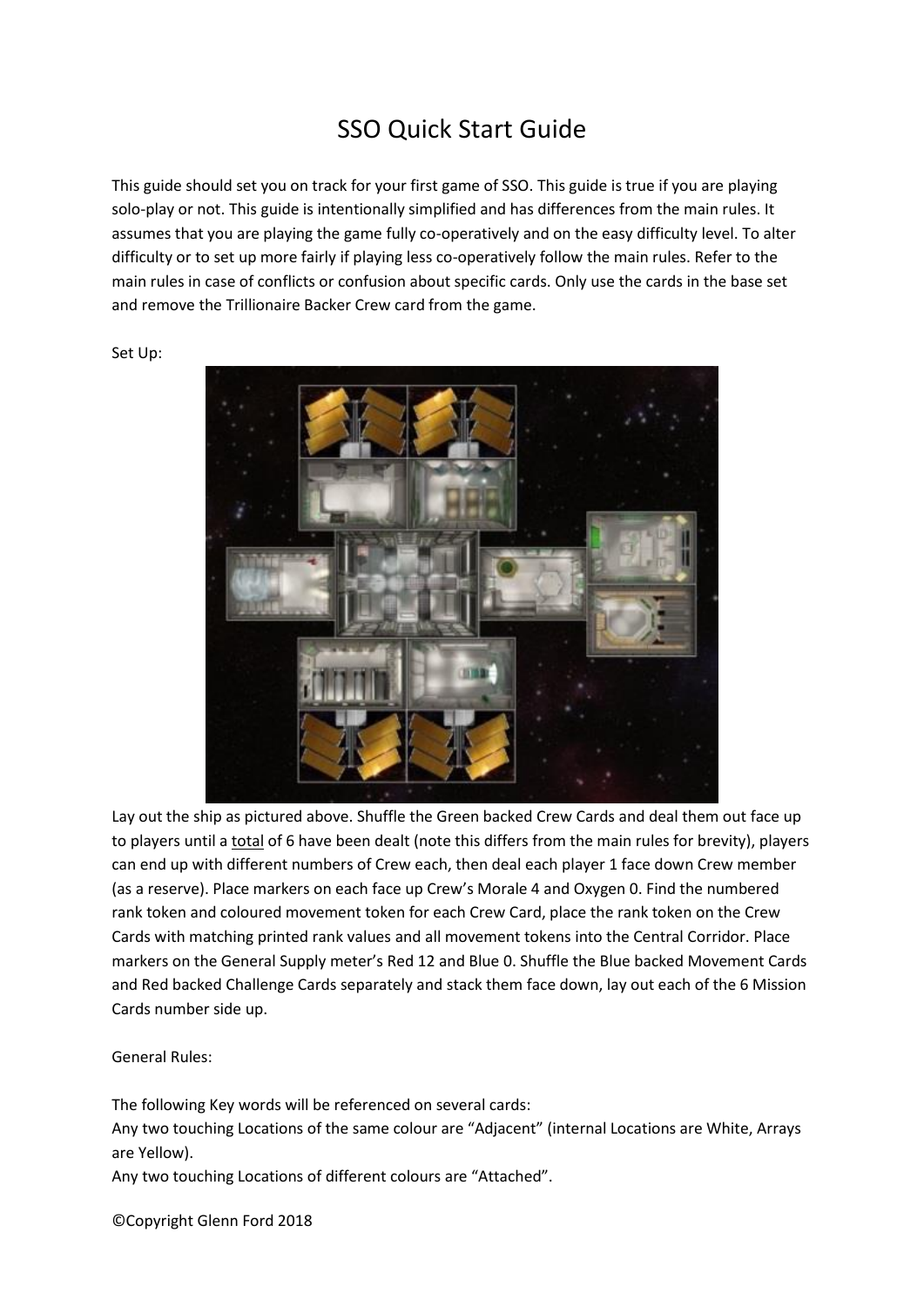## SSO Quick Start Guide

This guide should set you on track for your first game of SSO. This guide is true if you are playing solo-play or not. This guide is intentionally simplified and has differences from the main rules. It assumes that you are playing the game fully co-operatively and on the easy difficulty level. To alter difficulty or to set up more fairly if playing less co-operatively follow the main rules. Refer to the main rules in case of conflicts or confusion about specific cards. Only use the cards in the base set and remove the Trillionaire Backer Crew card from the game.

Set Up:



Lay out the ship as pictured above. Shuffle the Green backed Crew Cards and deal them out face up to players until a total of 6 have been dealt (note this differs from the main rules for brevity), players can end up with different numbers of Crew each, then deal each player 1 face down Crew member (as a reserve). Place markers on each face up Crew's Morale 4 and Oxygen 0. Find the numbered rank token and coloured movement token for each Crew Card, place the rank token on the Crew Cards with matching printed rank values and all movement tokens into the Central Corridor. Place markers on the General Supply meter's Red 12 and Blue 0. Shuffle the Blue backed Movement Cards and Red backed Challenge Cards separately and stack them face down, lay out each of the 6 Mission Cards number side up.

General Rules:

The following Key words will be referenced on several cards:

Any two touching Locations of the same colour are "Adjacent" (internal Locations are White, Arrays are Yellow).

Any two touching Locations of different colours are "Attached".

©Copyright Glenn Ford 2018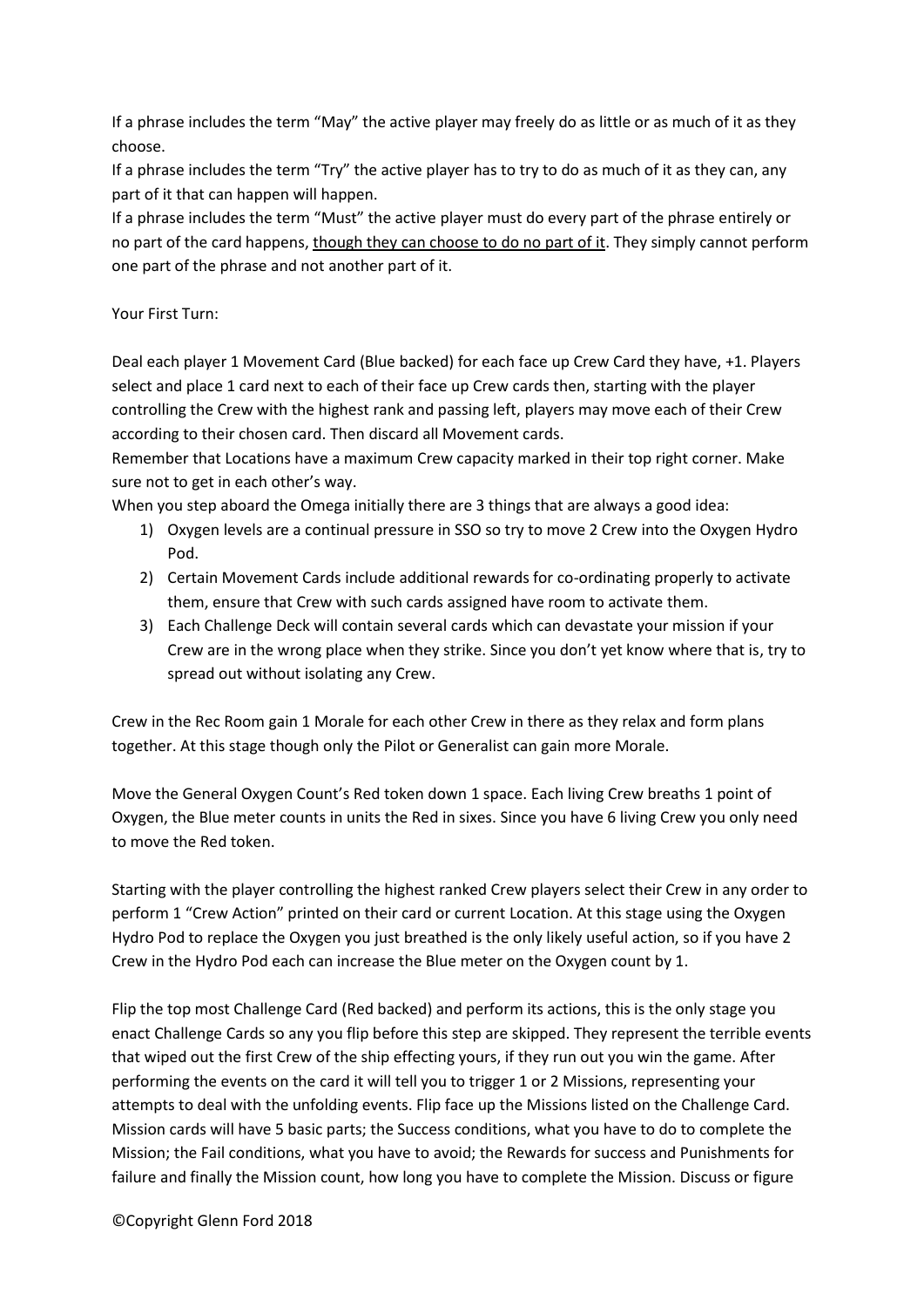If a phrase includes the term "May" the active player may freely do as little or as much of it as they choose.

If a phrase includes the term "Try" the active player has to try to do as much of it as they can, any part of it that can happen will happen.

If a phrase includes the term "Must" the active player must do every part of the phrase entirely or no part of the card happens, though they can choose to do no part of it. They simply cannot perform one part of the phrase and not another part of it.

## Your First Turn:

Deal each player 1 Movement Card (Blue backed) for each face up Crew Card they have, +1. Players select and place 1 card next to each of their face up Crew cards then, starting with the player controlling the Crew with the highest rank and passing left, players may move each of their Crew according to their chosen card. Then discard all Movement cards.

Remember that Locations have a maximum Crew capacity marked in their top right corner. Make sure not to get in each other's way.

When you step aboard the Omega initially there are 3 things that are always a good idea:

- 1) Oxygen levels are a continual pressure in SSO so try to move 2 Crew into the Oxygen Hydro Pod.
- 2) Certain Movement Cards include additional rewards for co-ordinating properly to activate them, ensure that Crew with such cards assigned have room to activate them.
- 3) Each Challenge Deck will contain several cards which can devastate your mission if your Crew are in the wrong place when they strike. Since you don't yet know where that is, try to spread out without isolating any Crew.

Crew in the Rec Room gain 1 Morale for each other Crew in there as they relax and form plans together. At this stage though only the Pilot or Generalist can gain more Morale.

Move the General Oxygen Count's Red token down 1 space. Each living Crew breaths 1 point of Oxygen, the Blue meter counts in units the Red in sixes. Since you have 6 living Crew you only need to move the Red token.

Starting with the player controlling the highest ranked Crew players select their Crew in any order to perform 1 "Crew Action" printed on their card or current Location. At this stage using the Oxygen Hydro Pod to replace the Oxygen you just breathed is the only likely useful action, so if you have 2 Crew in the Hydro Pod each can increase the Blue meter on the Oxygen count by 1.

Flip the top most Challenge Card (Red backed) and perform its actions, this is the only stage you enact Challenge Cards so any you flip before this step are skipped. They represent the terrible events that wiped out the first Crew of the ship effecting yours, if they run out you win the game. After performing the events on the card it will tell you to trigger 1 or 2 Missions, representing your attempts to deal with the unfolding events. Flip face up the Missions listed on the Challenge Card. Mission cards will have 5 basic parts; the Success conditions, what you have to do to complete the Mission; the Fail conditions, what you have to avoid; the Rewards for success and Punishments for failure and finally the Mission count, how long you have to complete the Mission. Discuss or figure